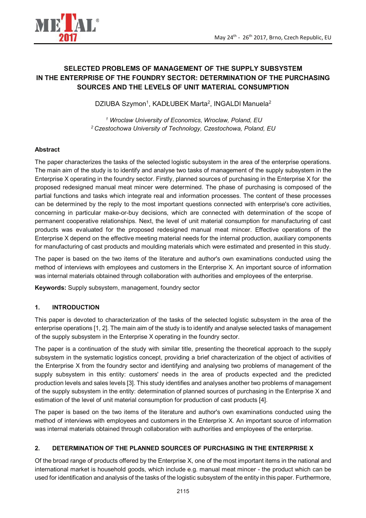



# **SELECTED PROBLEMS OF MANAGEMENT OF THE SUPPLY SUBSYSTEM IN THE ENTERPRISE OF THE FOUNDRY SECTOR: DETERMINATION OF THE PURCHASING SOURCES AND THE LEVELS OF UNIT MATERIAL CONSUMPTION**

DZIUBA Szymon<sup>1</sup>, KADŁUBEK Marta<sup>2</sup>, INGALDI Manuela<sup>2</sup>

*1 Wroclaw University of Economics, Wroclaw, Poland, EU <sup>2</sup>Czestochowa University of Technology, Czestochowa, Poland, EU* 

## **Abstract**

The paper characterizes the tasks of the selected logistic subsystem in the area of the enterprise operations. The main aim of the study is to identify and analyse two tasks of management of the supply subsystem in the Enterprise X operating in the foundry sector. Firstly, planned sources of purchasing in the Enterprise X for the proposed redesigned manual meat mincer were determined. The phase of purchasing is composed of the partial functions and tasks which integrate real and information processes. The content of these processes can be determined by the reply to the most important questions connected with enterprise's core activities, concerning in particular make-or-buy decisions, which are connected with determination of the scope of permanent cooperative relationships. Next, the level of unit material consumption for manufacturing of cast products was evaluated for the proposed redesigned manual meat mincer. Effective operations of the Enterprise X depend on the effective meeting material needs for the internal production, auxiliary components for manufacturing of cast products and moulding materials which were estimated and presented in this study.

The paper is based on the two items of the literature and author's own examinations conducted using the method of interviews with employees and customers in the Enterprise X. An important source of information was internal materials obtained through collaboration with authorities and employees of the enterprise.

**Keywords:** Supply subsystem, management, foundry sector

### **1. INTRODUCTION**

This paper is devoted to characterization of the tasks of the selected logistic subsystem in the area of the enterprise operations [1, 2]. The main aim of the study is to identify and analyse selected tasks of management of the supply subsystem in the Enterprise X operating in the foundry sector.

The paper is a continuation of the study with similar title, presenting the theoretical approach to the supply subsystem in the systematic logistics concept, providing a brief characterization of the object of activities of the Enterprise X from the foundry sector and identifying and analysing two problems of management of the supply subsystem in this entity: customers' needs in the area of products expected and the predicted production levels and sales levels [3]. This study identifies and analyses another two problems of management of the supply subsystem in the entity: determination of planned sources of purchasing in the Enterprise X and estimation of the level of unit material consumption for production of cast products [4].

The paper is based on the two items of the literature and author's own examinations conducted using the method of interviews with employees and customers in the Enterprise X. An important source of information was internal materials obtained through collaboration with authorities and employees of the enterprise.

### **2. DETERMINATION OF THE PLANNED SOURCES OF PURCHASING IN THE ENTERPRISE X**

Of the broad range of products offered by the Enterprise X, one of the most important items in the national and international market is household goods, which include e.g. manual meat mincer - the product which can be used for identification and analysis of the tasks of the logistic subsystem of the entity in this paper. Furthermore,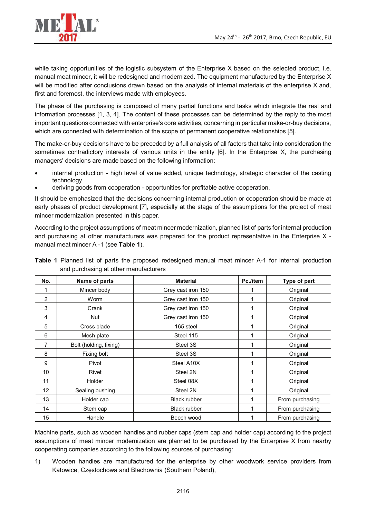

while taking opportunities of the logistic subsystem of the Enterprise X based on the selected product, i.e. manual meat mincer, it will be redesigned and modernized. The equipment manufactured by the Enterprise X will be modified after conclusions drawn based on the analysis of internal materials of the enterprise X and, first and foremost, the interviews made with employees.

The phase of the purchasing is composed of many partial functions and tasks which integrate the real and information processes [1, 3, 4]. The content of these processes can be determined by the reply to the most important questions connected with enterprise's core activities, concerning in particular make-or-buy decisions, which are connected with determination of the scope of permanent cooperative relationships [5].

The make-or-buy decisions have to be preceded by a full analysis of all factors that take into consideration the sometimes contradictory interests of various units in the entity [6]. In the Enterprise X, the purchasing managers' decisions are made based on the following information:

- internal production high level of value added, unique technology, strategic character of the casting technology,
- deriving goods from cooperation opportunities for profitable active cooperation.

It should be emphasized that the decisions concerning internal production or cooperation should be made at early phases of product development [7], especially at the stage of the assumptions for the project of meat mincer modernization presented in this paper.

According to the project assumptions of meat mincer modernization, planned list of parts for internal production and purchasing at other manufacturers was prepared for the product representative in the Enterprise X manual meat mincer A -1 (see **Table 1**).

| No. | Name of parts          | <b>Material</b>     | Pc./item | Type of part    |
|-----|------------------------|---------------------|----------|-----------------|
| 1   | Mincer body            | Grey cast iron 150  |          | Original        |
| 2   | Worm                   | Grey cast iron 150  |          | Original        |
| 3   | Crank                  | Grey cast iron 150  |          | Original        |
| 4   | Nut                    | Grey cast iron 150  |          | Original        |
| 5   | Cross blade            | 165 steel           |          | Original        |
| 6   | Mesh plate             | Steel 115           |          | Original        |
| 7   | Bolt (holding, fixing) | Steel 3S            |          | Original        |
| 8   | Fixing bolt            | Steel 3S            |          | Original        |
| 9   | Pivot                  | Steel A10X          |          | Original        |
| 10  | Rivet                  | Steel 2N            |          | Original        |
| 11  | <b>Holder</b>          | Steel 08X           |          | Original        |
| 12  | Sealing bushing        | Steel 2N            |          | Original        |
| 13  | Holder cap             | Black rubber        |          | From purchasing |
| 14  | Stem cap               | <b>Black rubber</b> |          | From purchasing |
| 15  | Handle                 | Beech wood          |          | From purchasing |

**Table 1** Planned list of parts the proposed redesigned manual meat mincer A-1 for internal production and purchasing at other manufacturers

Machine parts, such as wooden handles and rubber caps (stem cap and holder cap) according to the project assumptions of meat mincer modernization are planned to be purchased by the Enterprise X from nearby cooperating companies according to the following sources of purchasing:

1) Wooden handles are manufactured for the enterprise by other woodwork service providers from Katowice, Częstochowa and Blachownia (Southern Poland),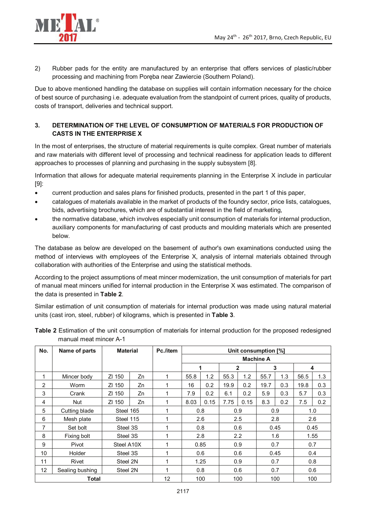

2) Rubber pads for the entity are manufactured by an enterprise that offers services of plastic/rubber processing and machining from Poręba near Zawiercie (Southern Poland).

Due to above mentioned handling the database on supplies will contain information necessary for the choice of best source of purchasing i.e. adequate evaluation from the standpoint of current prices, quality of products, costs of transport, deliveries and technical support.

## **3. DETERMINATION OF THE LEVEL OF CONSUMPTION OF MATERIALS FOR PRODUCTION OF CASTS IN THE ENTERPRISE X**

In the most of enterprises, the structure of material requirements is quite complex. Great number of materials and raw materials with different level of processing and technical readiness for application leads to different approaches to processes of planning and purchasing in the supply subsystem [8].

Information that allows for adequate material requirements planning in the Enterprise X include in particular [9]:

- current production and sales plans for finished products, presented in the part 1 of this paper,
- catalogues of materials available in the market of products of the foundry sector, price lists, catalogues, bids, advertising brochures, which are of substantial interest in the field of marketing,
- the normative database, which involves especially unit consumption of materials for internal production, auxiliary components for manufacturing of cast products and moulding materials which are presented below.

The database as below are developed on the basement of author's own examinations conducted using the method of interviews with employees of the Enterprise X, analysis of internal materials obtained through collaboration with authorities of the Enterprise and using the statistical methods.

According to the project assumptions of meat mincer modernization, the unit consumption of materials for part of manual meat mincers unified for internal production in the Enterprise X was estimated. The comparison of the data is presented in **Table 2**.

Similar estimation of unit consumption of materials for internal production was made using natural material units (cast iron, steel, rubber) of kilograms, which is presented in **Table 3**.

| No.             |                 |                 | Pc./item | Unit consumption [%] |      |      |                  |      |      |      |      |     |  |  |
|-----------------|-----------------|-----------------|----------|----------------------|------|------|------------------|------|------|------|------|-----|--|--|
|                 | Name of parts   | <b>Material</b> |          |                      |      |      |                  |      |      |      |      |     |  |  |
|                 |                 |                 |          |                      |      |      | <b>Machine A</b> |      |      |      |      |     |  |  |
|                 |                 |                 |          |                      |      |      |                  | 2    |      | 3    |      | 4   |  |  |
| 1               | Mincer body     | ZI 150          | Zn       | 1                    | 55.8 | 1.2  | 55.3             | 1.2  | 55.7 | 1.3  | 56.5 | 1.3 |  |  |
| 2               | Worm            | ZI 150          | Zn       | 1                    | 16   | 0.2  | 19.9             | 0.2  | 19.7 | 0.3  | 19.8 | 0.3 |  |  |
| 3               | Crank           | ZI 150          | Zn       | 1                    | 7.9  | 0.2  | 6.1              | 0.2  | 5.9  | 0.3  | 5.7  | 0.3 |  |  |
| 4               | Nut             | ZI 150          | Zn       | 1                    | 8.03 | 0.15 | 7.75             | 0.15 | 8.3  | 0.2  | 7.5  | 0.2 |  |  |
| 5               | Cutting blade   | Steel 165       |          | 1                    |      | 0.8  |                  | 0.9  |      | 0.9  |      | 1.0 |  |  |
| 6               | Mesh plate      | Steel 115       |          | 1                    |      | 2.6  | 2.5              |      | 2.8  |      | 2.6  |     |  |  |
| 7               | Set bolt        | Steel 3S        |          | 1                    |      | 0.8  |                  | 0.6  | 0.45 |      | 0.45 |     |  |  |
| 8               | Fixing bolt     | Steel 3S        |          | 1                    |      | 2.8  |                  | 2.2  |      | 1.6  | 1.55 |     |  |  |
| 9               | Pivot           | Steel A10X      |          | 1                    |      | 0.85 |                  | 0.9  |      | 0.7  | 0.7  |     |  |  |
| 10              | Holder          | Steel 3S        |          | 1                    |      | 0.6  |                  | 0.6  |      | 0.45 |      | 0.4 |  |  |
| 11              | Rivet           | Steel 2N        |          | 1                    |      | 1.25 |                  | 0.9  |      | 0.7  | 0.8  |     |  |  |
| 12 <sup>2</sup> | Sealing bushing | Steel 2N        |          | 1                    |      | 0.8  |                  | 0.6  | 0.7  |      | 0.6  |     |  |  |
|                 | Total           |                 |          | 12                   |      | 100  |                  | 100  |      | 100  |      | 100 |  |  |

**Table 2** Estimation of the unit consumption of materials for internal production for the proposed redesigned manual meat mincer A-1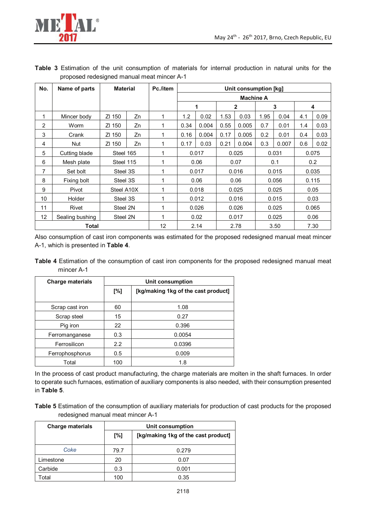

| No. | Name of parts   | <b>Material</b> |    | Pc./item | Unit consumption [kg] |       |              |       |       |       |       |      |  |
|-----|-----------------|-----------------|----|----------|-----------------------|-------|--------------|-------|-------|-------|-------|------|--|
|     |                 |                 |    |          | <b>Machine A</b>      |       |              |       |       |       |       |      |  |
|     |                 |                 |    |          | $\mathbf 1$           |       | $\mathbf{2}$ |       | 3     |       |       | 4    |  |
| 1   | Mincer body     | ZI 150          | Zn | 1        | 1.2                   | 0.02  | 1.53         | 0.03  | 1.95  | 0.04  | 4.1   | 0.09 |  |
| 2   | Worm            | ZI 150          | Zn | 1        | 0.34                  | 0.004 | 0.55         | 0.005 | 0.7   | 0.01  | 1.4   | 0.03 |  |
| 3   | Crank           | ZI 150          | Zn | 1        | 0.16                  | 0.004 | 0.17         | 0.005 | 0.2   | 0.01  | 0.4   | 0.03 |  |
| 4   | <b>Nut</b>      | ZI 150          | Zn | 1        | 0.17                  | 0.03  | 0.21         | 0.004 | 0.3   | 0.007 | 0.6   | 0.02 |  |
| 5   | Cutting blade   | Steel 165       |    | 1        | 0.017                 |       | 0.025        |       | 0.031 |       | 0.075 |      |  |
| 6   | Mesh plate      | Steel 115       |    | 1        |                       | 0.06  | 0.07         |       | 0.1   |       | 0.2   |      |  |
| 7   | Set bolt        | Steel 3S        |    | 1        |                       | 0.017 |              | 0.016 | 0.015 |       | 0.035 |      |  |
| 8   | Fixing bolt     | Steel 3S        |    | 1        |                       | 0.06  |              | 0.06  | 0.056 |       | 0.115 |      |  |
| 9   | Pivot           | Steel A10X      |    | 1        |                       | 0.018 |              | 0.025 |       | 0.025 |       | 0.05 |  |
| 10  | <b>Holder</b>   | Steel 3S        |    | 1        |                       | 0.012 |              | 0.016 |       | 0.015 |       | 0.03 |  |
| 11  | Rivet           | Steel 2N        |    | 1        |                       | 0.026 |              | 0.026 | 0.025 |       | 0.065 |      |  |
| 12  | Sealing bushing | Steel 2N        |    | 1        |                       | 0.02  | 0.017        |       | 0.025 |       | 0.06  |      |  |
|     | <b>Total</b>    |                 |    | 12       |                       | 2.14  | 2.78         |       | 3.50  |       |       | 7.30 |  |

**Table 3** Estimation of the unit consumption of materials for internal production in natural units for the proposed redesigned manual meat mincer A-1

Also consumption of cast iron components was estimated for the proposed redesigned manual meat mincer A-1, which is presented in **Table 4**.

**Table 4** Estimation of the consumption of cast iron components for the proposed redesigned manual meat mincer A-1

| <b>Charge materials</b> | Unit consumption |                                     |  |  |  |  |  |
|-------------------------|------------------|-------------------------------------|--|--|--|--|--|
|                         | [%]              | [kg/making 1kg of the cast product] |  |  |  |  |  |
| Scrap cast iron         | 60               | 1.08                                |  |  |  |  |  |
| Scrap steel             | 15               | 0.27                                |  |  |  |  |  |
| Pig iron                | 22               | 0.396                               |  |  |  |  |  |
| Ferromanganese          | 0.3              | 0.0054                              |  |  |  |  |  |
| Ferrosilicon            | $2.2^{\circ}$    | 0.0396                              |  |  |  |  |  |
| Ferrophosphorus         | 0.5              | 0.009                               |  |  |  |  |  |
| Total                   | 100              | 1.8                                 |  |  |  |  |  |

In the process of cast product manufacturing, the charge materials are molten in the shaft furnaces. In order to operate such furnaces, estimation of auxiliary components is also needed, with their consumption presented in **Table 5**.

**Table 5** Estimation of the consumption of auxiliary materials for production of cast products for the proposed redesigned manual meat mincer A-1

| <b>Charge materials</b> | Unit consumption |                                     |  |  |  |  |  |
|-------------------------|------------------|-------------------------------------|--|--|--|--|--|
|                         | [%]              | [kg/making 1kg of the cast product] |  |  |  |  |  |
| Coke                    | 79.7             | 0.279                               |  |  |  |  |  |
| Limestone               | 20               | 0.07                                |  |  |  |  |  |
| Carbide                 | 0.3              | 0.001                               |  |  |  |  |  |
| Total                   | 100              | 0.35                                |  |  |  |  |  |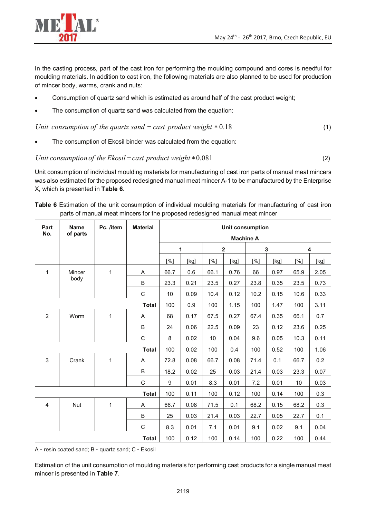

In the casting process, part of the cast iron for performing the moulding compound and cores is needful for moulding materials. In addition to cast iron, the following materials are also planned to be used for production of mincer body, warms, crank and nuts:

- Consumption of quartz sand which is estimated as around half of the cast product weight;
- The consumption of quartz sand was calculated from the equation:

*Unit consumption of the quartz sand* = *cast product weight*  $* 0.18$  (1)

The consumption of Ekosil binder was calculated from the equation:

Unit consumption of the Ekosil = cast product weight 
$$
*0.081
$$
 (2)

Unit consumption of individual moulding materials for manufacturing of cast iron parts of manual meat mincers was also estimated for the proposed redesigned manual meat mincer A-1 to be manufactured by the Enterprise X, which is presented in **Table 6**.

|  |  |                                                                             |  |  | Table 6 Estimation of the unit consumption of individual moulding materials for manufacturing of cast iron |  |  |
|--|--|-----------------------------------------------------------------------------|--|--|------------------------------------------------------------------------------------------------------------|--|--|
|  |  | parts of manual meat mincers for the proposed redesigned manual meat mincer |  |  |                                                                                                            |  |  |

| Part           | Name     | Pc. /item | <b>Material</b> | Unit consumption |      |      |              |             |      |      |      |
|----------------|----------|-----------|-----------------|------------------|------|------|--------------|-------------|------|------|------|
| No.            | of parts |           |                 | <b>Machine A</b> |      |      |              |             |      |      |      |
|                |          |           |                 | 1                |      |      | $\mathbf{2}$ | $\mathbf 3$ |      | 4    |      |
|                |          |           |                 | [%]              | [kg] | [%]  | [kg]         | [%]         | [kg] | [%]  | [kg] |
| $\mathbf{1}$   | Mincer   | 1         | A               | 66.7             | 0.6  | 66.1 | 0.76         | 66          | 0.97 | 65.9 | 2.05 |
|                | body     |           | B               | 23.3             | 0.21 | 23.5 | 0.27         | 23.8        | 0.35 | 23.5 | 0.73 |
|                |          |           | $\mathsf C$     | 10               | 0.09 | 10.4 | 0.12         | 10.2        | 0.15 | 10.6 | 0.33 |
|                |          |           | <b>Total</b>    | 100              | 0.9  | 100  | 1.15         | 100         | 1.47 | 100  | 3.11 |
| $\overline{2}$ | Worm     | 1         | A               | 68               | 0.17 | 67.5 | 0.27         | 67.4        | 0.35 | 66.1 | 0.7  |
|                |          |           | B               | 24               | 0.06 | 22.5 | 0.09         | 23          | 0.12 | 23.6 | 0.25 |
|                |          |           | C               | 8                | 0.02 | 10   | 0.04         | 9.6         | 0.05 | 10.3 | 0.11 |
|                |          |           | <b>Total</b>    | 100              | 0.02 | 100  | 0.4          | 100         | 0.52 | 100  | 1.06 |
| 3              | Crank    | 1         | A               | 72.8             | 0.08 | 66.7 | 0.08         | 71.4        | 0.1  | 66.7 | 0.2  |
|                |          |           | B               | 18.2             | 0.02 | 25   | 0.03         | 21.4        | 0.03 | 23.3 | 0.07 |
|                |          |           | $\mathsf C$     | 9                | 0.01 | 8.3  | 0.01         | 7.2         | 0.01 | 10   | 0.03 |
|                |          |           | <b>Total</b>    | 100              | 0.11 | 100  | 0.12         | 100         | 0.14 | 100  | 0.3  |
| 4              | Nut      | 1         | Α               | 66.7             | 0.08 | 71.5 | 0.1          | 68.2        | 0.15 | 68.2 | 0.3  |
|                |          |           | B               | 25               | 0.03 | 21.4 | 0.03         | 22.7        | 0.05 | 22.7 | 0.1  |
|                |          |           | $\mathsf C$     | 8.3              | 0.01 | 7.1  | 0.01         | 9.1         | 0.02 | 9.1  | 0.04 |
|                |          |           | <b>Total</b>    | 100              | 0.12 | 100  | 0.14         | 100         | 0.22 | 100  | 0.44 |

A - resin coated sand; B - quartz sand; C - Ekosil

Estimation of the unit consumption of moulding materials for performing cast products for a single manual meat mincer is presented in **Table 7**.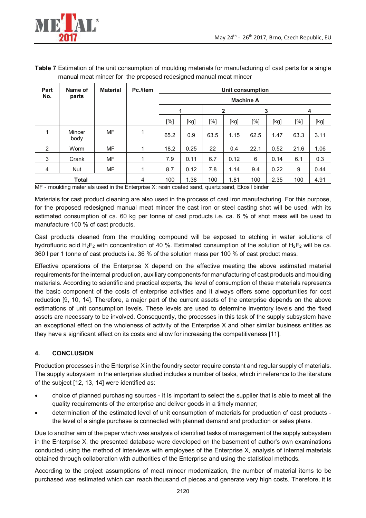

| Table 7 Estimation of the unit consumption of moulding materials for manufacturing of cast parts for a single |  |  |  |  |
|---------------------------------------------------------------------------------------------------------------|--|--|--|--|
| manual meat mincer for the proposed redesigned manual meat mincer                                             |  |  |  |  |

| Part | Name of        | <b>Material</b> | Pc./item | Unit consumption<br><b>Machine A</b> |      |      |              |      |      |      |        |
|------|----------------|-----------------|----------|--------------------------------------|------|------|--------------|------|------|------|--------|
| No.  | parts          |                 |          |                                      |      |      |              |      |      |      |        |
|      |                |                 |          | 1                                    |      |      | $\mathbf{2}$ |      | 3    |      | 4      |
|      |                |                 |          | [%]                                  | [kg] | [%]  | [kg]         | [%]  | [kg] | [%]  | $[kg]$ |
| 1    | Mincer<br>body | MF              | 1        | 65.2                                 | 0.9  | 63.5 | 1.15         | 62.5 | 1.47 | 63.3 | 3.11   |
| 2    | Worm           | МF              | 1        | 18.2                                 | 0.25 | 22   | 0.4          | 22.1 | 0.52 | 21.6 | 1.06   |
| 3    | Crank          | MF              | 1        | 7.9                                  | 0.11 | 6.7  | 0.12         | 6    | 0.14 | 6.1  | 0.3    |
| 4    | <b>Nut</b>     | MF              |          | 8.7                                  | 0.12 | 7.8  | 1.14         | 9.4  | 0.22 | 9    | 0.44   |
|      | Total          |                 |          | 100                                  | 1.38 | 100  | 1.81         | 100  | 2.35 | 100  | 4.91   |

MF - moulding materials used in the Enterprise X: resin coated sand, quartz sand, Ekosil binder

Materials for cast product cleaning are also used in the process of cast iron manufacturing. For this purpose, for the proposed redesigned manual meat mincer the cast iron or steel casting shot will be used, with its estimated consumption of ca. 60 kg per tonne of cast products i.e. ca. 6 % of shot mass will be used to manufacture 100 % of cast products.

Cast products cleaned from the moulding compound will be exposed to etching in water solutions of hydrofluoric acid H<sub>2</sub>F<sub>2</sub> with concentration of 40 %. Estimated consumption of the solution of H<sub>2</sub>F<sub>2</sub> will be ca. 360 l per 1 tonne of cast products i.e. 36 % of the solution mass per 100 % of cast product mass.

Effective operations of the Enterprise X depend on the effective meeting the above estimated material requirements for the internal production, auxiliary components for manufacturing of cast products and moulding materials. According to scientific and practical experts, the level of consumption of these materials represents the basic component of the costs of enterprise activities and it always offers some opportunities for cost reduction [9, 10, 14]. Therefore, a major part of the current assets of the enterprise depends on the above estimations of unit consumption levels. These levels are used to determine inventory levels and the fixed assets are necessary to be involved. Consequently, the processes in this task of the supply subsystem have an exceptional effect on the wholeness of activity of the Enterprise X and other similar business entities as they have a significant effect on its costs and allow for increasing the competitiveness [11].

### **4. CONCLUSION**

Production processes in the Enterprise X in the foundry sector require constant and regular supply of materials. The supply subsystem in the enterprise studied includes a number of tasks, which in reference to the literature of the subject [12, 13, 14] were identified as:

- choice of planned purchasing sources it is important to select the supplier that is able to meet all the quality requirements of the enterprise and deliver goods in a timely manner;
- determination of the estimated level of unit consumption of materials for production of cast products the level of a single purchase is connected with planned demand and production or sales plans.

Due to another aim of the paper which was analysis of identified tasks of management of the supply subsystem in the Enterprise X, the presented database were developed on the basement of author's own examinations conducted using the method of interviews with employees of the Enterprise X, analysis of internal materials obtained through collaboration with authorities of the Enterprise and using the statistical methods.

According to the project assumptions of meat mincer modernization, the number of material items to be purchased was estimated which can reach thousand of pieces and generate very high costs. Therefore, it is